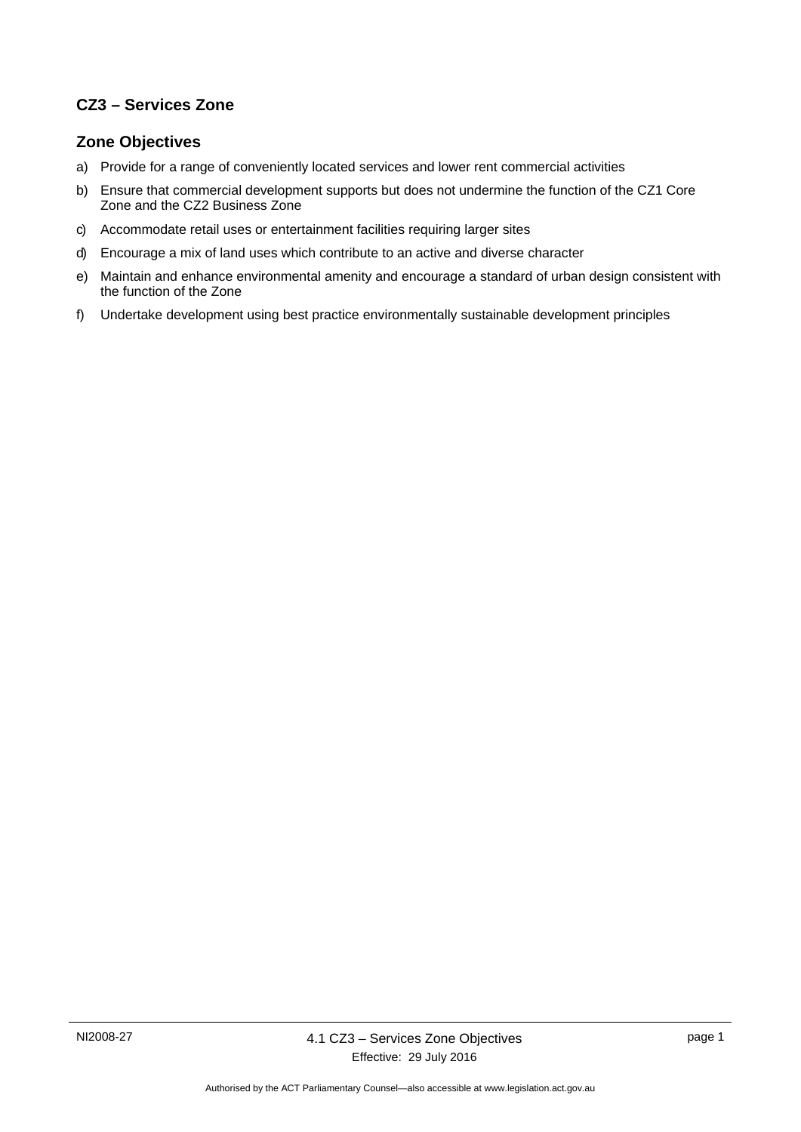## **CZ3 – Services Zone**

### **Zone Objectives**

- a) Provide for a range of conveniently located services and lower rent commercial activities
- b) Ensure that commercial development supports but does not undermine the function of the CZ1 Core Zone and the CZ2 Business Zone
- c) Accommodate retail uses or entertainment facilities requiring larger sites
- d) Encourage a mix of land uses which contribute to an active and diverse character
- e) Maintain and enhance environmental amenity and encourage a standard of urban design consistent with the function of the Zone
- f) Undertake development using best practice environmentally sustainable development principles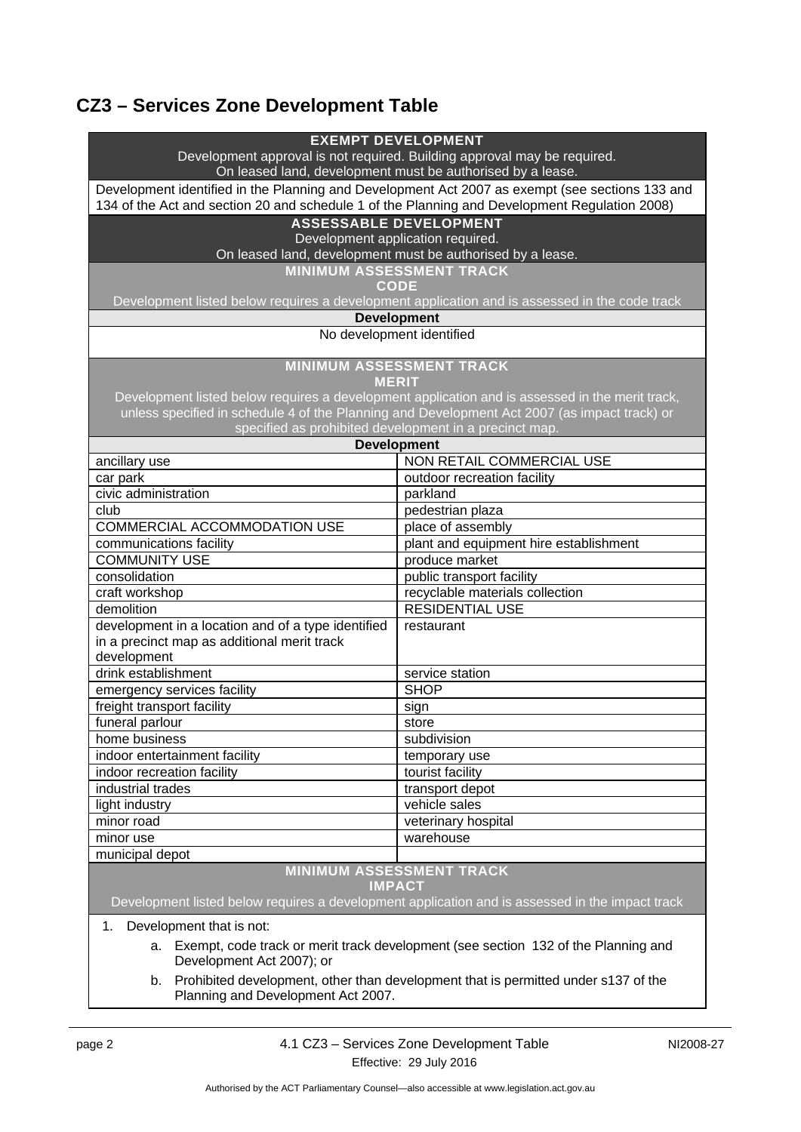# **CZ3 – Services Zone Development Table**

| <b>EXEMPT DEVELOPMENT</b>                                                                                                              |                                                                                               |  |
|----------------------------------------------------------------------------------------------------------------------------------------|-----------------------------------------------------------------------------------------------|--|
| Development approval is not required. Building approval may be required.<br>On leased land, development must be authorised by a lease. |                                                                                               |  |
| Development identified in the Planning and Development Act 2007 as exempt (see sections 133 and                                        |                                                                                               |  |
| 134 of the Act and section 20 and schedule 1 of the Planning and Development Regulation 2008)                                          |                                                                                               |  |
| <b>ASSESSABLE DEVELOPMENT</b>                                                                                                          |                                                                                               |  |
| Development application required.                                                                                                      |                                                                                               |  |
| On leased land, development must be authorised by a lease.                                                                             |                                                                                               |  |
|                                                                                                                                        | <b>MINIMUM ASSESSMENT TRACK</b>                                                               |  |
|                                                                                                                                        | <b>CODE</b>                                                                                   |  |
|                                                                                                                                        | Development listed below requires a development application and is assessed in the code track |  |
|                                                                                                                                        | <b>Development</b>                                                                            |  |
| No development identified                                                                                                              |                                                                                               |  |
|                                                                                                                                        |                                                                                               |  |
|                                                                                                                                        | <b>MINIMUM ASSESSMENT TRACK</b>                                                               |  |
|                                                                                                                                        | <b>MERIT</b>                                                                                  |  |
| Development listed below requires a development application and is assessed in the merit track,                                        |                                                                                               |  |
| unless specified in schedule 4 of the Planning and Development Act 2007 (as impact track) or                                           |                                                                                               |  |
| specified as prohibited development in a precinct map.<br><b>Development</b>                                                           |                                                                                               |  |
| ancillary use                                                                                                                          | <b>NON RETAIL COMMERCIAL USE</b>                                                              |  |
| car park                                                                                                                               | outdoor recreation facility                                                                   |  |
| civic administration                                                                                                                   | parkland                                                                                      |  |
| club                                                                                                                                   | pedestrian plaza                                                                              |  |
| COMMERCIAL ACCOMMODATION USE                                                                                                           | place of assembly                                                                             |  |
|                                                                                                                                        | plant and equipment hire establishment                                                        |  |
| communications facility<br><b>COMMUNITY USE</b>                                                                                        | produce market                                                                                |  |
| consolidation                                                                                                                          | public transport facility                                                                     |  |
| craft workshop                                                                                                                         | recyclable materials collection                                                               |  |
| demolition                                                                                                                             | <b>RESIDENTIAL USE</b>                                                                        |  |
| development in a location and of a type identified                                                                                     | restaurant                                                                                    |  |
| in a precinct map as additional merit track                                                                                            |                                                                                               |  |
| development                                                                                                                            |                                                                                               |  |
| drink establishment                                                                                                                    | service station                                                                               |  |
| emergency services facility                                                                                                            | <b>SHOP</b>                                                                                   |  |
| freight transport facility                                                                                                             | sign                                                                                          |  |
| funeral parlour                                                                                                                        | store                                                                                         |  |
| home business                                                                                                                          | subdivision                                                                                   |  |
| indoor entertainment facility                                                                                                          | temporary use                                                                                 |  |
| indoor recreation facility                                                                                                             | tourist facility                                                                              |  |
| industrial trades                                                                                                                      | transport depot                                                                               |  |
| light industry                                                                                                                         | vehicle sales                                                                                 |  |
| minor road                                                                                                                             | veterinary hospital                                                                           |  |
| minor use                                                                                                                              | warehouse                                                                                     |  |
| municipal depot                                                                                                                        |                                                                                               |  |
| <b>MINIMUM ASSESSMENT TRACK</b>                                                                                                        |                                                                                               |  |
| <b>IMPACT</b>                                                                                                                          |                                                                                               |  |
| Development listed below requires a development application and is assessed in the impact track                                        |                                                                                               |  |
| Development that is not:<br>1.                                                                                                         |                                                                                               |  |
| a. Exempt, code track or merit track development (see section 132 of the Planning and                                                  |                                                                                               |  |
| Development Act 2007); or                                                                                                              |                                                                                               |  |
| Prohibited development, other than development that is permitted under s137 of the<br>b.                                               |                                                                                               |  |

Planning and Development Act 2007.